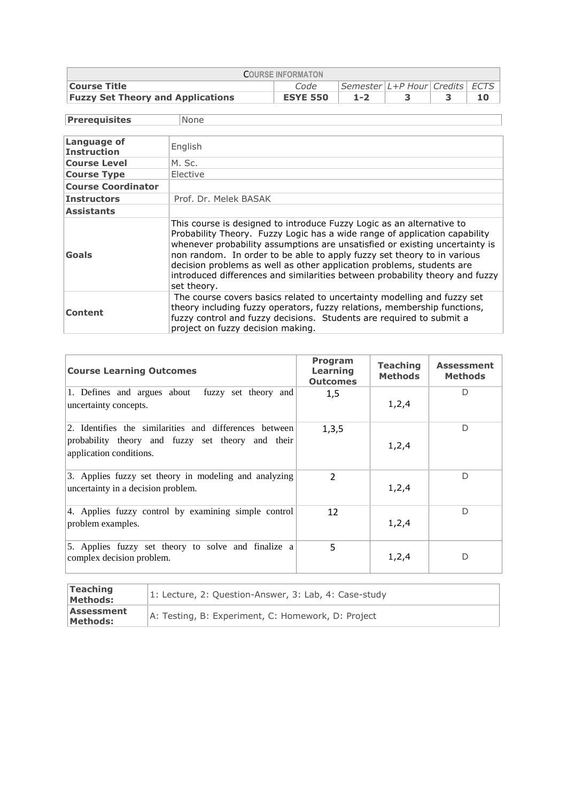| <b>COURSE INFORMATON</b>                                      |                 |         |  |  |  |  |  |  |
|---------------------------------------------------------------|-----------------|---------|--|--|--|--|--|--|
| Semester L+P Hour Credits ECTS<br><b>Course Title</b><br>Code |                 |         |  |  |  |  |  |  |
| <b>Fuzzy Set Theory and Applications</b>                      | <b>ESYE 550</b> | $1 - 2$ |  |  |  |  |  |  |

**Prerequisites** None

| <b>Language of</b><br><b>Instruction</b> | English                                                                                                                                                                                                                                                                                                                                                                                                                                                                               |
|------------------------------------------|---------------------------------------------------------------------------------------------------------------------------------------------------------------------------------------------------------------------------------------------------------------------------------------------------------------------------------------------------------------------------------------------------------------------------------------------------------------------------------------|
| <b>Course Level</b>                      | M. Sc.                                                                                                                                                                                                                                                                                                                                                                                                                                                                                |
| <b>Course Type</b>                       | Elective                                                                                                                                                                                                                                                                                                                                                                                                                                                                              |
| <b>Course Coordinator</b>                |                                                                                                                                                                                                                                                                                                                                                                                                                                                                                       |
| <b>Instructors</b>                       | Prof. Dr. Melek BASAK                                                                                                                                                                                                                                                                                                                                                                                                                                                                 |
| <b>Assistants</b>                        |                                                                                                                                                                                                                                                                                                                                                                                                                                                                                       |
| <b>Goals</b>                             | This course is designed to introduce Fuzzy Logic as an alternative to<br>Probability Theory. Fuzzy Logic has a wide range of application capability<br>whenever probability assumptions are unsatisfied or existing uncertainty is<br>non random. In order to be able to apply fuzzy set theory to in various<br>decision problems as well as other application problems, students are<br>introduced differences and similarities between probability theory and fuzzy<br>set theory. |
| Content                                  | The course covers basics related to uncertainty modelling and fuzzy set<br>theory including fuzzy operators, fuzzy relations, membership functions,<br>fuzzy control and fuzzy decisions. Students are required to submit a<br>project on fuzzy decision making.                                                                                                                                                                                                                      |

| <b>Course Learning Outcomes</b>                                                                                                        | <b>Program</b><br>Learning<br><b>Outcomes</b> | <b>Teaching</b><br>Methods | <b>Assessment</b><br><b>Methods</b> |
|----------------------------------------------------------------------------------------------------------------------------------------|-----------------------------------------------|----------------------------|-------------------------------------|
| 1. Defines and argues about fuzzy set theory and<br>uncertainty concepts.                                                              | 1,5                                           | 1,2,4                      | D                                   |
| 2. Identifies the similarities and differences between<br>probability theory and fuzzy set theory and their<br>application conditions. | 1,3,5                                         | 1,2,4                      | D                                   |
| 3. Applies fuzzy set theory in modeling and analyzing<br>uncertainty in a decision problem.                                            | $\overline{2}$                                | 1, 2, 4                    | D                                   |
| 4. Applies fuzzy control by examining simple control<br>problem examples.                                                              | 12                                            | 1, 2, 4                    | D                                   |
| 5. Applies fuzzy set theory to solve and finalize a<br>complex decision problem.                                                       | 5                                             | 1,2,4                      | D                                   |

| Teaching<br>Methods:   | 1: Lecture, 2: Question-Answer, 3: Lab, 4: Case-study |
|------------------------|-------------------------------------------------------|
| Assessment<br>Methods: | A: Testing, B: Experiment, C: Homework, D: Project    |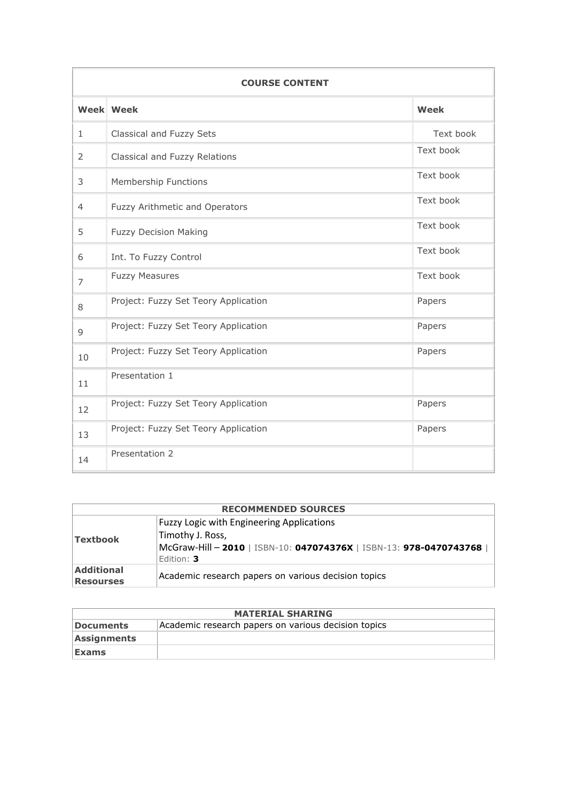| <b>COURSE CONTENT</b> |                                      |             |  |  |  |
|-----------------------|--------------------------------------|-------------|--|--|--|
|                       | <b>Week Week</b>                     | <b>Week</b> |  |  |  |
| $\mathbf{1}$          | Classical and Fuzzy Sets             | Text book   |  |  |  |
| 2                     | Classical and Fuzzy Relations        | Text book   |  |  |  |
| 3                     | Membership Functions                 | Text book   |  |  |  |
| $\overline{4}$        | Fuzzy Arithmetic and Operators       | Text book   |  |  |  |
| 5                     | <b>Fuzzy Decision Making</b>         | Text book   |  |  |  |
| 6                     | Int. To Fuzzy Control                | Text book   |  |  |  |
| 7                     | <b>Fuzzy Measures</b>                | Text book   |  |  |  |
| 8                     | Project: Fuzzy Set Teory Application | Papers      |  |  |  |
| 9                     | Project: Fuzzy Set Teory Application | Papers      |  |  |  |
| 10                    | Project: Fuzzy Set Teory Application | Papers      |  |  |  |
| 11                    | Presentation 1                       |             |  |  |  |
| 12                    | Project: Fuzzy Set Teory Application | Papers      |  |  |  |
| 13                    | Project: Fuzzy Set Teory Application | Papers      |  |  |  |
| 14                    | Presentation 2                       |             |  |  |  |

| <b>RECOMMENDED SOURCES</b>            |                                                                                                                                                            |  |  |  |  |  |
|---------------------------------------|------------------------------------------------------------------------------------------------------------------------------------------------------------|--|--|--|--|--|
| <b>Textbook</b>                       | <b>Fuzzy Logic with Engineering Applications</b><br>Timothy J. Ross,<br>McGraw-Hill - 2010   ISBN-10: 047074376X   ISBN-13: 978-0470743768  <br>Edition: 3 |  |  |  |  |  |
| <b>Additional</b><br><b>Resourses</b> | Academic research papers on various decision topics                                                                                                        |  |  |  |  |  |

| <b>MATERIAL SHARING</b> |                                                     |  |  |  |
|-------------------------|-----------------------------------------------------|--|--|--|
| Documents               | Academic research papers on various decision topics |  |  |  |
| <b>Assignments</b>      |                                                     |  |  |  |
| <b>Exams</b>            |                                                     |  |  |  |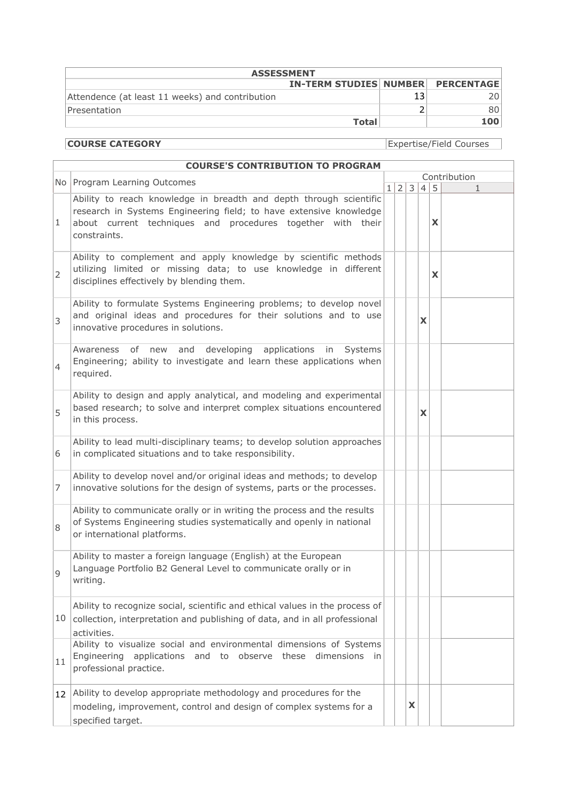| <b>ASSESSMENT</b>                               |                                          |  |     |  |  |
|-------------------------------------------------|------------------------------------------|--|-----|--|--|
|                                                 | <b>IN-TERM STUDIES NUMBER PERCENTAGE</b> |  |     |  |  |
| Attendence (at least 11 weeks) and contribution |                                          |  |     |  |  |
| Presentation                                    |                                          |  |     |  |  |
|                                                 | <b>Total</b>                             |  | 100 |  |  |

**COURSE CATEGORY** Expertise/Field Courses

|    | <b>COURSE'S CONTRIBUTION TO PROGRAM</b>                                                                                                                                                                                 |  |                 |               |                |        |              |
|----|-------------------------------------------------------------------------------------------------------------------------------------------------------------------------------------------------------------------------|--|-----------------|---------------|----------------|--------|--------------|
|    | No Program Learning Outcomes                                                                                                                                                                                            |  |                 | Contribution  |                |        |              |
| 1  | Ability to reach knowledge in breadth and depth through scientific<br>research in Systems Engineering field; to have extensive knowledge<br>about current techniques and procedures together with their<br>constraints. |  | $1\overline{2}$ | $\mathcal{E}$ | 4 <sup>1</sup> | 5<br>X | $\mathbf{1}$ |
| 2  | Ability to complement and apply knowledge by scientific methods<br>utilizing limited or missing data; to use knowledge in different<br>disciplines effectively by blending them.                                        |  |                 |               |                | X      |              |
| 3  | Ability to formulate Systems Engineering problems; to develop novel<br>and original ideas and procedures for their solutions and to use<br>innovative procedures in solutions.                                          |  |                 |               | X              |        |              |
| 4  | of new<br>and developing<br>applications<br>Awareness<br>in<br>Systems<br>Engineering; ability to investigate and learn these applications when<br>required.                                                            |  |                 |               |                |        |              |
| 5  | Ability to design and apply analytical, and modeling and experimental<br>based research; to solve and interpret complex situations encountered<br>in this process.                                                      |  |                 |               | X              |        |              |
| 6  | Ability to lead multi-disciplinary teams; to develop solution approaches<br>in complicated situations and to take responsibility.                                                                                       |  |                 |               |                |        |              |
| 7  | Ability to develop novel and/or original ideas and methods; to develop<br>innovative solutions for the design of systems, parts or the processes.                                                                       |  |                 |               |                |        |              |
| 8  | Ability to communicate orally or in writing the process and the results<br>of Systems Engineering studies systematically and openly in national<br>or international platforms.                                          |  |                 |               |                |        |              |
| 9  | Ability to master a foreign language (English) at the European<br>Language Portfolio B2 General Level to communicate orally or in<br>writing.                                                                           |  |                 |               |                |        |              |
| 10 | Ability to recognize social, scientific and ethical values in the process of<br>collection, interpretation and publishing of data, and in all professional<br>activities.                                               |  |                 |               |                |        |              |
| 11 | Ability to visualize social and environmental dimensions of Systems<br>applications and to observe these dimensions in<br>Engineering<br>professional practice.                                                         |  |                 |               |                |        |              |
| 12 | Ability to develop appropriate methodology and procedures for the<br>modeling, improvement, control and design of complex systems for a<br>specified target.                                                            |  |                 | X             |                |        |              |